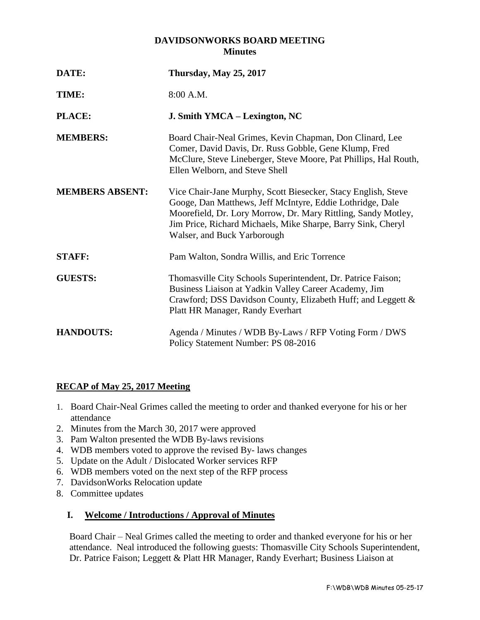## **DAVIDSONWORKS BOARD MEETING Minutes**

| DATE:                  | <b>Thursday, May 25, 2017</b>                                                                                                                                                                                                                                                              |
|------------------------|--------------------------------------------------------------------------------------------------------------------------------------------------------------------------------------------------------------------------------------------------------------------------------------------|
| TIME:                  | 8:00 A.M.                                                                                                                                                                                                                                                                                  |
| PLACE:                 | J. Smith YMCA – Lexington, NC                                                                                                                                                                                                                                                              |
| <b>MEMBERS:</b>        | Board Chair-Neal Grimes, Kevin Chapman, Don Clinard, Lee<br>Comer, David Davis, Dr. Russ Gobble, Gene Klump, Fred<br>McClure, Steve Lineberger, Steve Moore, Pat Phillips, Hal Routh,<br>Ellen Welborn, and Steve Shell                                                                    |
| <b>MEMBERS ABSENT:</b> | Vice Chair-Jane Murphy, Scott Biesecker, Stacy English, Steve<br>Googe, Dan Matthews, Jeff McIntyre, Eddie Lothridge, Dale<br>Moorefield, Dr. Lory Morrow, Dr. Mary Rittling, Sandy Motley,<br>Jim Price, Richard Michaels, Mike Sharpe, Barry Sink, Cheryl<br>Walser, and Buck Yarborough |
| <b>STAFF:</b>          | Pam Walton, Sondra Willis, and Eric Torrence                                                                                                                                                                                                                                               |
| <b>GUESTS:</b>         | Thomasville City Schools Superintendent, Dr. Patrice Faison;<br>Business Liaison at Yadkin Valley Career Academy, Jim<br>Crawford; DSS Davidson County, Elizabeth Huff; and Leggett &<br>Platt HR Manager, Randy Everhart                                                                  |
| <b>HANDOUTS:</b>       | Agenda / Minutes / WDB By-Laws / RFP Voting Form / DWS<br>Policy Statement Number: PS 08-2016                                                                                                                                                                                              |

# **RECAP of May 25, 2017 Meeting**

- 1. Board Chair-Neal Grimes called the meeting to order and thanked everyone for his or her attendance
- 2. Minutes from the March 30, 2017 were approved
- 3. Pam Walton presented the WDB By-laws revisions
- 4. WDB members voted to approve the revised By- laws changes
- 5. Update on the Adult / Dislocated Worker services RFP
- 6. WDB members voted on the next step of the RFP process
- 7. DavidsonWorks Relocation update
- 8. Committee updates

### **I. Welcome / Introductions / Approval of Minutes**

Board Chair – Neal Grimes called the meeting to order and thanked everyone for his or her attendance. Neal introduced the following guests: Thomasville City Schools Superintendent, Dr. Patrice Faison; Leggett & Platt HR Manager, Randy Everhart; Business Liaison at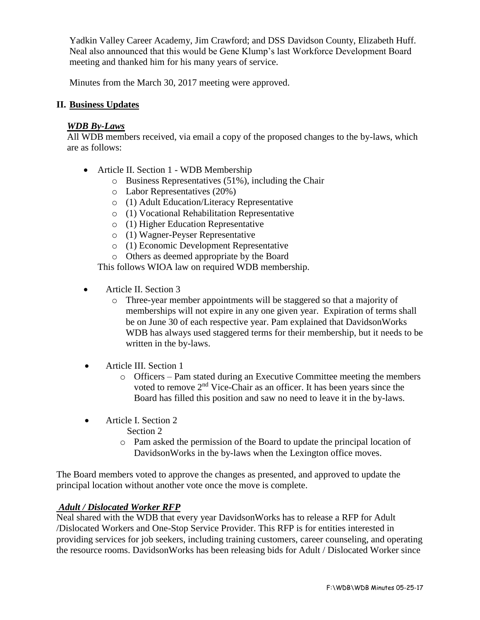Yadkin Valley Career Academy, Jim Crawford; and DSS Davidson County, Elizabeth Huff. Neal also announced that this would be Gene Klump's last Workforce Development Board meeting and thanked him for his many years of service.

Minutes from the March 30, 2017 meeting were approved.

### **II. Business Updates**

### *WDB By-Laws*

All WDB members received, via email a copy of the proposed changes to the by-laws, which are as follows:

- Article II. Section 1 WDB Membership
	- o Business Representatives (51%), including the Chair
	- o Labor Representatives (20%)
	- o (1) Adult Education/Literacy Representative
	- o (1) Vocational Rehabilitation Representative
	- o (1) Higher Education Representative
	- o (1) Wagner-Peyser Representative
	- o (1) Economic Development Representative
	- o Others as deemed appropriate by the Board

This follows WIOA law on required WDB membership.

- Article II. Section 3
	- o Three-year member appointments will be staggered so that a majority of memberships will not expire in any one given year. Expiration of terms shall be on June 30 of each respective year. Pam explained that DavidsonWorks WDB has always used staggered terms for their membership, but it needs to be written in the by-laws.
- Article III. Section 1
	- o Officers Pam stated during an Executive Committee meeting the members voted to remove 2nd Vice-Chair as an officer. It has been years since the Board has filled this position and saw no need to leave it in the by-laws.
- Article I. Section 2
	- Section 2
	- o Pam asked the permission of the Board to update the principal location of DavidsonWorks in the by-laws when the Lexington office moves.

The Board members voted to approve the changes as presented, and approved to update the principal location without another vote once the move is complete.

## *Adult / Dislocated Worker RFP*

Neal shared with the WDB that every year DavidsonWorks has to release a RFP for Adult /Dislocated Workers and One-Stop Service Provider. This RFP is for entities interested in providing services for job seekers, including training customers, career counseling, and operating the resource rooms. DavidsonWorks has been releasing bids for Adult / Dislocated Worker since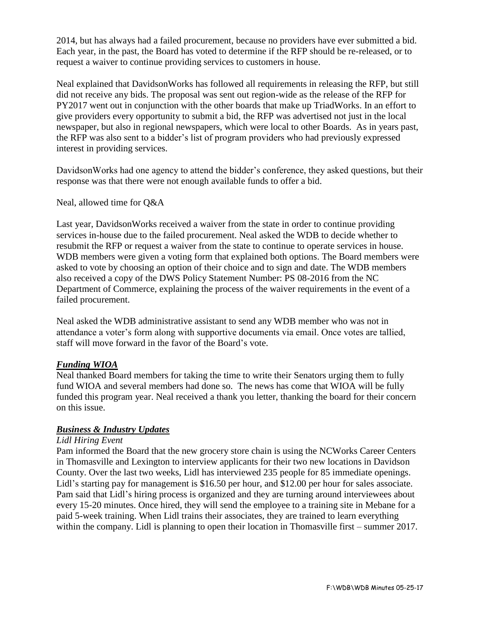2014, but has always had a failed procurement, because no providers have ever submitted a bid. Each year, in the past, the Board has voted to determine if the RFP should be re-released, or to request a waiver to continue providing services to customers in house.

Neal explained that DavidsonWorks has followed all requirements in releasing the RFP, but still did not receive any bids. The proposal was sent out region-wide as the release of the RFP for PY2017 went out in conjunction with the other boards that make up TriadWorks. In an effort to give providers every opportunity to submit a bid, the RFP was advertised not just in the local newspaper, but also in regional newspapers, which were local to other Boards. As in years past, the RFP was also sent to a bidder's list of program providers who had previously expressed interest in providing services.

DavidsonWorks had one agency to attend the bidder's conference, they asked questions, but their response was that there were not enough available funds to offer a bid.

Neal, allowed time for Q&A

Last year, DavidsonWorks received a waiver from the state in order to continue providing services in-house due to the failed procurement. Neal asked the WDB to decide whether to resubmit the RFP or request a waiver from the state to continue to operate services in house. WDB members were given a voting form that explained both options. The Board members were asked to vote by choosing an option of their choice and to sign and date. The WDB members also received a copy of the DWS Policy Statement Number: PS 08-2016 from the NC Department of Commerce, explaining the process of the waiver requirements in the event of a failed procurement.

Neal asked the WDB administrative assistant to send any WDB member who was not in attendance a voter's form along with supportive documents via email. Once votes are tallied, staff will move forward in the favor of the Board's vote.

### *Funding WIOA*

Neal thanked Board members for taking the time to write their Senators urging them to fully fund WIOA and several members had done so. The news has come that WIOA will be fully funded this program year. Neal received a thank you letter, thanking the board for their concern on this issue.

### *Business & Industry Updates*

#### *Lidl Hiring Event*

Pam informed the Board that the new grocery store chain is using the NCWorks Career Centers in Thomasville and Lexington to interview applicants for their two new locations in Davidson County. Over the last two weeks, Lidl has interviewed 235 people for 85 immediate openings. Lidl's starting pay for management is \$16.50 per hour, and \$12.00 per hour for sales associate. Pam said that Lidl's hiring process is organized and they are turning around interviewees about every 15-20 minutes. Once hired, they will send the employee to a training site in Mebane for a paid 5-week training. When Lidl trains their associates, they are trained to learn everything within the company. Lidl is planning to open their location in Thomasville first – summer 2017.